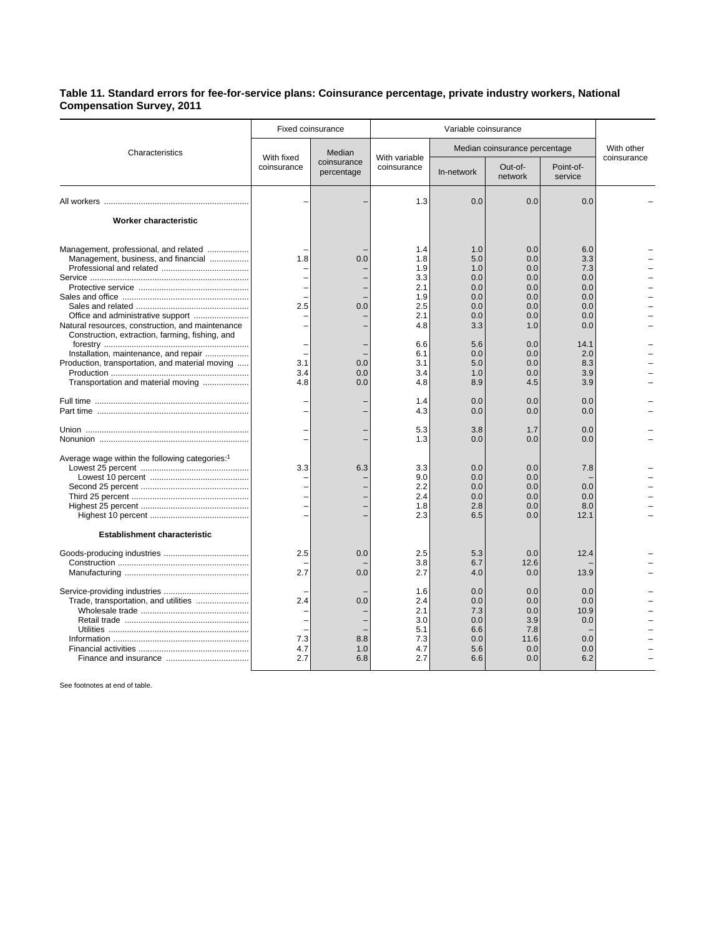## **Table 11. Standard errors for fee-for-service plans: Coinsurance percentage, private industry workers, National Compensation Survey, 2011**

|                                                                                                                                                                                   | <b>Fixed coinsurance</b>  |                                     | Variable coinsurance                                        |                                                             |                                                             |                                                             |             |
|-----------------------------------------------------------------------------------------------------------------------------------------------------------------------------------|---------------------------|-------------------------------------|-------------------------------------------------------------|-------------------------------------------------------------|-------------------------------------------------------------|-------------------------------------------------------------|-------------|
| Characteristics                                                                                                                                                                   | With fixed<br>coinsurance | Median<br>coinsurance<br>percentage | With variable<br>coinsurance                                | Median coinsurance percentage                               |                                                             |                                                             | With other  |
|                                                                                                                                                                                   |                           |                                     |                                                             | In-network                                                  | Out-of-<br>network                                          | Point-of-<br>service                                        | coinsurance |
|                                                                                                                                                                                   |                           |                                     | 1.3                                                         | 0.0                                                         | 0.0                                                         | 0.0                                                         |             |
| Worker characteristic                                                                                                                                                             |                           |                                     |                                                             |                                                             |                                                             |                                                             |             |
| Management, professional, and related<br>Management, business, and financial<br>Natural resources, construction, and maintenance                                                  | 1.8<br>2.5                | 0.0<br>0.0                          | 1.4<br>1.8<br>1.9<br>3.3<br>2.1<br>1.9<br>2.5<br>2.1<br>4.8 | 1.0<br>5.0<br>1.0<br>0.0<br>0.0<br>0.0<br>0.0<br>0.0<br>3.3 | 0.0<br>0.0<br>0.0<br>0.0<br>0.0<br>0.0<br>0.0<br>0.0<br>1.0 | 6.0<br>3.3<br>7.3<br>0.0<br>0.0<br>0.0<br>0.0<br>0.0<br>0.0 |             |
| Construction, extraction, farming, fishing, and<br>Installation, maintenance, and repair<br>Production, transportation, and material moving<br>Transportation and material moving | 3.1<br>3.4<br>4.8         | 0.0<br>0.0<br>0.0                   | 6.6<br>6.1<br>3.1<br>3.4<br>4.8                             | 5.6<br>0.0<br>5.0<br>1.0<br>8.9                             | 0.0<br>0.0<br>0.0<br>0.0<br>4.5                             | 14.1<br>2.0<br>8.3<br>3.9<br>3.9                            |             |
|                                                                                                                                                                                   |                           |                                     | 1.4<br>4.3                                                  | 0.0<br>0.0                                                  | 0.0<br>0.0                                                  | 0.0<br>0.0                                                  |             |
|                                                                                                                                                                                   |                           |                                     | 5.3<br>1.3                                                  | 3.8<br>0.0                                                  | 1.7<br>0.0                                                  | 0.0<br>0.0                                                  |             |
| Average wage within the following categories: <sup>1</sup><br><b>Establishment characteristic</b>                                                                                 | 3.3                       | 6.3                                 | 3.3<br>9.0<br>2.2<br>2.4<br>1.8<br>2.3                      | 0.0<br>0.0<br>0.0<br>0.0<br>2.8<br>6.5                      | 0.0<br>0.0<br>0.0<br>0.0<br>0.0<br>0.0                      | 7.8<br>0.0<br>0.0<br>8.0<br>12.1                            |             |
|                                                                                                                                                                                   | 2.5<br>2.7                | 0.0<br>0.0                          | 2.5<br>3.8<br>2.7                                           | 5.3<br>6.7<br>4.0                                           | 0.0<br>12.6<br>0.0                                          | 12.4<br>13.9                                                |             |
| Trade, transportation, and utilities                                                                                                                                              | 2.4<br>7.3<br>4.7<br>2.7  | 0.0<br>8.8<br>1.0<br>6.8            | 1.6<br>2.4<br>2.1<br>3.0<br>5.1<br>7.3<br>4.7<br>2.7        | 0.0<br>0.0<br>7.3<br>0.0<br>6.6<br>0.0<br>5.6<br>6.6        | 0.0<br>0.0<br>0.0<br>3.9<br>7.8<br>11.6<br>0.0<br>0.0       | 0.0<br>0.0<br>10.9<br>0.0<br>0.0<br>0.0<br>6.2              |             |

See footnotes at end of table.